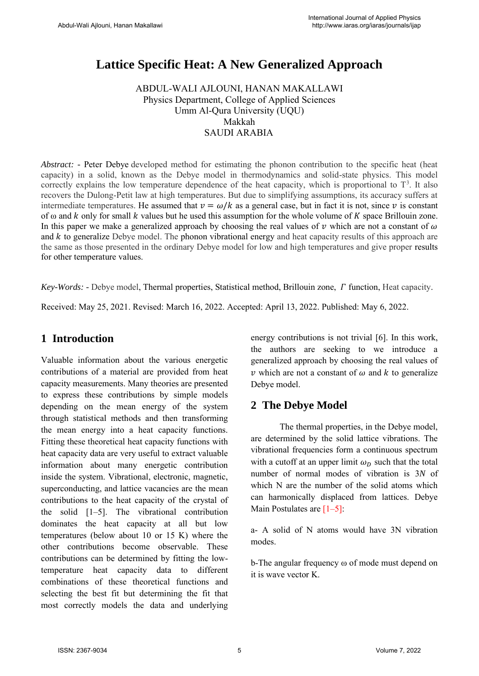# **Lattice Specific Heat: A New Generalized Approach**

ABDUL-WALI AJLOUNI, HANAN MAKALLAWI Physics Department, College of Applied Sciences Umm Al-Qura University (UQU) Makkah S[AUDI](mailto:amajlouni@uqu.edu.sa) A[RABIA](mailto:hhmakallawi@uqu.edu.sa)

*Abstract:* - Peter Debye developed method for estimating the phonon contribution to the specific heat (heat capacity) in a solid, known as the Debye model in thermodynamics and solid-state physics. This model correctly explains the low temperature dependence of the heat capacity, which is proportional to  $T^3$ . It also recovers the Dulong-Petit law at high temperatures. But due to simplifying assumptions, its accuracy suffers at intermediate temperatures. He assumed that  $v = \omega/k$  as a general case, but in fact it is not, since v is constant of  $\omega$  and  $k$  only for small  $k$  values but he used this assumption for the whole volume of  $K$  space Brillouin zone. In this paper we make a generalized approach by choosing the real values of  $\nu$  which are not a constant of  $\omega$ and  $k$  to generalize Debye model. The phonon vibrational energy and heat capacity results of this approach are the same as those presented in the ordinary Debye model for low and high temperatures and give proper results for other temperature values.

*Key-Words: -* Debye model, Thermal properties, Statistical method, Brillouin zone, *I* function, Heat capacity.

Received: May 25, 2021. Revised: March 16, 2022. Accepted: April 13, 2022. Published: May 6, 2022.

# **1 Introduction**

Valuable information about the various energetic contributions of a material are provided from heat capacity measurements. Many theories are presented to express these contributions by simple models depending on the mean energy of the system through statistical methods and then transforming the mean energy into a heat capacity functions. Fitting these theoretical heat capacity functions with heat capacity data are very useful to extract valuable information about many energetic contribution inside the system. Vibrational, electronic, magnetic, superconducting, and lattice vacancies are the mean contributions to the heat capacity of the crystal of the solid [1–5]. The vibrational contribution dominates the heat capacity at all but low temperatures (below about 10 or 15 K) where the other contributions become observable. These contributions can be determined by fitting the lowtemperature heat capacity data to different combinations of these theoretical functions and selecting the best fit but determining the fit that most correctly models the data and underlying energy contributions is not trivial [6]. In this work, the authors are seeking to we introduce a generalized approach by choosing the real values of  $\nu$  which are not a constant of  $\omega$  and  $k$  to generalize Debye model.

# **2 The Debye Model**

The thermal properties, in the Debye model, are determined by the solid lattice vibrations. The vibrational frequencies form a continuous spectrum with a cutoff at an upper limit  $\omega_D$  such that the total number of normal modes of vibration is 3*N* of which N are the number of the solid atoms which can harmonically displaced from lattices. Debye Main Postulates are  $[1-5]$ :

a- A solid of N atoms would have 3N vibration modes.

b-The angular frequency ω of mode must depend on it is wave vector K.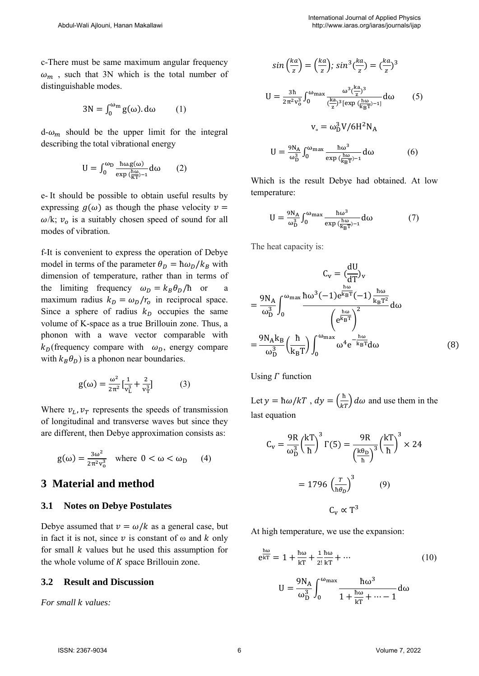c-There must be same maximum angular frequency  $\omega_m$ , such that 3N which is the total number of distinguishable modes.

$$
3N = \int_0^{\omega_m} g(\omega) \, d\omega \qquad (1)
$$

 $d-\omega_m$  should be the upper limit for the integral describing the total vibrational energy

$$
U = \int_0^{\omega_D} \frac{\hbar \omega g(\omega)}{\exp(\frac{\hbar \omega}{KT})^{-1}} d\omega \qquad (2)
$$

e- It should be possible to obtain useful results by expressing  $q(\omega)$  as though the phase velocity  $\nu =$  $\omega/k$ ;  $v<sub>o</sub>$  is a suitably chosen speed of sound for all modes of vibration.

f-It is convenient to express the operation of Debye model in terms of the parameter  $\theta_D = \hbar \omega_D / k_B$  with dimension of temperature, rather than in terms of the limiting frequency  $\omega_D = k_B \theta_D / \hbar$  or maximum radius  $k_D = \omega_D / r_o$  in reciprocal space. Since a sphere of radius  $k<sub>D</sub>$  occupies the same volume of K-space as a true Brillouin zone. Thus, a phonon with a wave vector comparable with  $k_D$ (frequency compare with  $\omega_D$ , energy compare with  $k_B \theta_D$ ) is a phonon near boundaries.

$$
g(\omega) = \frac{\omega^2}{2\pi^2} \left[\frac{1}{v_L^3} + \frac{2}{v_T^3}\right] \tag{3}
$$

Where  $v_L$ ,  $v_T$  represents the speeds of transmission of longitudinal and transverse waves but since they are different, then Debye approximation consists as:

$$
g(\omega) = \frac{3\omega^2}{2\pi^2 v_0^3} \quad \text{where} \quad 0 < \omega < \omega_D \qquad (4)
$$

## **3 Material and method**

#### **3.1 Notes on Debye Postulates**

Debye assumed that  $v = \omega/k$  as a general case, but in fact it is not, since  $\nu$  is constant of  $\omega$  and  $k$  only for small  $k$  values but he used this assumption for the whole volume of  $K$  space Brillouin zone.

#### **3.2 Result and Discussion**

*For small k values:* 

$$
\sin\left(\frac{ka}{z}\right) = \left(\frac{ka}{z}\right); \sin^3\left(\frac{ka}{z}\right) = \left(\frac{ka}{z}\right)^3
$$
\n
$$
U = \frac{3h}{2\pi^2 v_0^3} \int_0^{\omega_{\text{max}}} \frac{\omega^3 \left(\frac{ka}{z}\right)^3}{\left(\frac{ka}{z}\right)^3 [\exp\left(\frac{h\omega}{k_B T}\right)^{-1}]} d\omega \qquad (5)
$$
\n
$$
v_\circ = \omega_D^3 V / 6H^2 N_A
$$
\n
$$
U = \frac{9N_A}{\omega_D^3} \int_0^{\omega_{\text{max}}} \frac{h\omega^3}{\exp\left(\frac{h\omega}{k_B T}\right)^{-1}} d\omega \qquad (6)
$$

Which is the result Debye had obtained. At low temperature:

$$
U = \frac{9N_A}{\omega_D^3} \int_0^{\omega_{\text{max}}} \frac{\hbar \omega^3}{\exp(\frac{\hbar \omega}{k_B T})^{-1}} d\omega \tag{7}
$$

The heat capacity is:

$$
C_{v} = \left(\frac{dU}{dT}\right)_{v}
$$

$$
= \frac{9N_{A}}{\omega_{D}^{3}} \int_{0}^{\omega_{\text{max}}} \frac{\hbar \omega^{3}(-1)e^{\frac{\hbar \omega}{k_{B}T}}(-1)\frac{\hbar \omega}{k_{B}T^{2}}}{\left(e^{\frac{\hbar \omega}{k_{B}T}}\right)^{2}} d\omega
$$

$$
= \frac{9N_{A}k_{B}}{\omega_{D}^{3}} \left(\frac{\hbar}{k_{B}T}\right) \int_{0}^{\omega_{\text{max}}} \omega^{4} e^{\frac{\hbar \omega}{k_{B}T}} d\omega
$$
(8)

Using  $\Gamma$  function

Let  $y = \hbar \omega / kT$ ,  $dy = \left(\frac{\hbar}{kT}\right)$  $\frac{d}{kT}$ )  $d\omega$  and use them in the last equation

$$
C_{\rm v} = \frac{9R}{\omega_{\rm D}^3} \left(\frac{kT}{\hbar}\right)^3 \Gamma(5) = \frac{9R}{\left(\frac{k\theta_{\rm D}}{\hbar}\right)^3} \left(\frac{kT}{\hbar}\right)^3 \times 24
$$

$$
= 1796 \left(\frac{r}{\hbar \theta_D}\right)^3 \qquad (9)
$$

$$
C_{\rm v} \propto T^3
$$

At high temperature, we use the expansion:

$$
e^{\frac{\hbar\omega}{kT}} = 1 + \frac{\hbar\omega}{kT} + \frac{1}{2!} \frac{\hbar\omega}{kT} + \cdots
$$
\n
$$
U = \frac{9N_A}{\omega_D^3} \int_0^{\omega_{\text{max}}} \frac{\hbar\omega^3}{1 + \frac{\hbar\omega}{kT} + \cdots - 1} d\omega
$$
\n(10)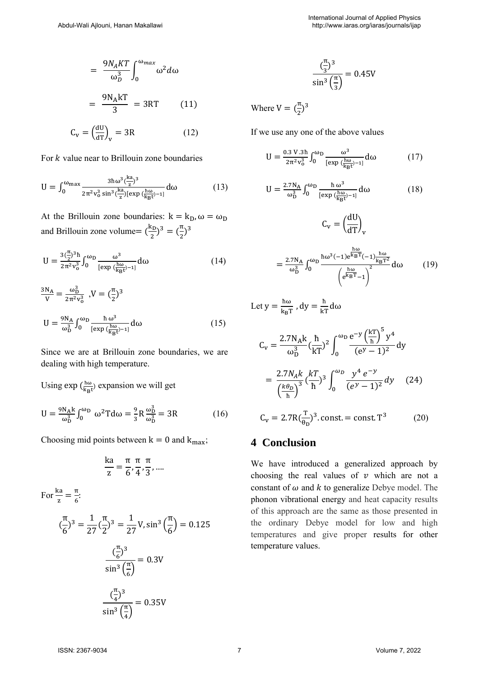For  $k$  value near to Brillouin zone boundaries

$$
U = \int_0^{\omega_{\text{max}}} \frac{3\hbar\omega^3(\frac{k\mathbf{a}}{z})^3}{2\pi^2 v_0^3 \sin^3(\frac{k\mathbf{a}}{z})[\exp(\frac{\hbar\omega}{k_B t})^{-1}]} d\omega \tag{13}
$$

At the Brillouin zone boundaries:  $k = k_D$ ,  $\omega = \omega_D$ and Brillouin zone volume=  $\left(\frac{k_D}{2}\right)$  $\frac{x_{D}}{2}$ )<sup>3</sup> =  $\left(\frac{\pi}{2}\right)$  $\frac{\pi}{2}$ )<sup>3</sup>

$$
U = \frac{3\left(\frac{\pi}{2}\right)^3 h}{2\pi^2 v_0^3} \int_0^{\omega_D} \frac{\omega^3}{\left[\exp\left(\frac{h\omega}{k_B t}\right)^{-1}\right]} d\omega \tag{14}
$$

$$
\frac{3N_A}{V} = \frac{\omega_D^3}{2\pi^2 v_0^3}, V = \left(\frac{\pi}{2}\right)^3
$$
  

$$
U = \frac{9N_A}{\omega_D^3} \int_0^{\omega_D} \frac{\hbar \omega^3}{[\exp\left(\frac{\hbar \omega}{k_B t}\right) - 1]} d\omega
$$
 (15)

Since we are at Brillouin zone boundaries, we are dealing with high temperature.

Using  $\exp\left(\frac{\hbar\omega}{\hbar\omega}\right)$  $\frac{h\omega}{k_{\text{B}}t}$  expansion we will get

$$
U = \frac{9N_A k}{\omega_D^3} \int_0^{\omega_D} \omega^2 T d\omega = \frac{9}{3} R \frac{\omega_D^3}{\omega_D^3} = 3R \tag{16}
$$

Choosing mid points between  $k = 0$  and  $k_{max}$ ;

$$
\frac{ka}{z} = \frac{\pi}{6}, \frac{\pi}{4}, \frac{\pi}{3}, \dots
$$

For  $\frac{ka}{z} = \frac{\pi}{6}$  $\frac{1}{6}$ ( π  $\frac{\pi}{6}$ )<sup>3</sup> =  $\frac{1}{27}$  $\frac{1}{27}$ π  $(\frac{\pi}{2})^3 = \frac{1}{27}V, \sin^3$ π  $\frac{1}{6}$ ) = 0.125  $\left(\frac{\pi}{2}\right)$  $\frac{\pi}{6}$ )<sup>3</sup>  $\sin^3\left(\frac{\pi}{2}\right)$  $\frac{1}{6}$  $= 0.3V$  $\left(\frac{\pi}{4}\right)$  $\frac{\pi}{4}$ )<sup>3</sup>  $\sin^3\left(\frac{\pi}{4}\right)$  $\frac{1}{4}$  $= 0.35V$ 

$$
\frac{(\frac{\pi}{3})^3}{\sin^3(\frac{\pi}{3})} = 0.45V
$$

Where  $V = \left(\frac{\pi}{2}\right)$  $\frac{\pi}{2}$ )<sup>3</sup>

If we use any one of the above values

$$
U = \frac{0.3 V . 3\hbar}{2\pi^2 v_0^3} \int_0^{\omega_D} \frac{\omega^3}{[\exp(\frac{\hbar \omega}{k_B t})^{-1}]} d\omega \tag{17}
$$

$$
U = \frac{2.7 N_A}{\omega_D^3} \int_0^{\omega_D} \frac{\hbar \omega^3}{[\exp(\frac{\hbar \omega}{k_B t})^{-1}]} d\omega \tag{18}
$$

$$
C_{\rm v} = \left(\frac{\Delta E}{dT}\right)_{\rm v}
$$

$$
= \frac{2.7 \text{N}_{\rm A}}{\omega_{\rm D}^3} \int_0^{\omega_{\rm D}} \frac{\hbar \omega^3 (-1) e^{\frac{\hbar \omega}{k_{\rm B}T}} (-1) \frac{\hbar \omega}{k_{\rm B}T^2}}{\left(e^{\frac{\hbar \omega}{k_{\rm B}T}} - 1\right)^2} d\omega \qquad (19)
$$

dU

Let 
$$
y = \frac{\hbar \omega}{k_B T}
$$
,  $dy = \frac{\hbar}{kT} d\omega$   
\n
$$
C_v = \frac{2.7 N_A k}{\omega_D^3} (\frac{\hbar}{kT})^2 \int_0^{\omega_D} \frac{e^{-y} (\frac{kT}{\hbar})^5 y^4}{(e^y - 1)^2} dy
$$
\n
$$
= \frac{2.7 N_A k}{(\frac{k\theta_D}{\hbar})^3} (\frac{kT}{\hbar})^3 \int_0^{\omega_D} \frac{y^4 e^{-y}}{(e^y - 1)^2} dy \qquad (24)
$$
\n
$$
C_v = 2.7 R(\frac{T}{\theta_D})^3 \text{ const.} = \text{const.} T^3 \qquad (20)
$$

## **4 Conclusion**

We have introduced a generalized approach by choosing the real values of  $\nu$  which are not a constant of  $\omega$  and  $k$  to generalize Debye model. The phonon vibrational energy and heat capacity results of this approach are the same as those presented in the ordinary Debye model for low and high temperatures and give proper results for other temperature values.